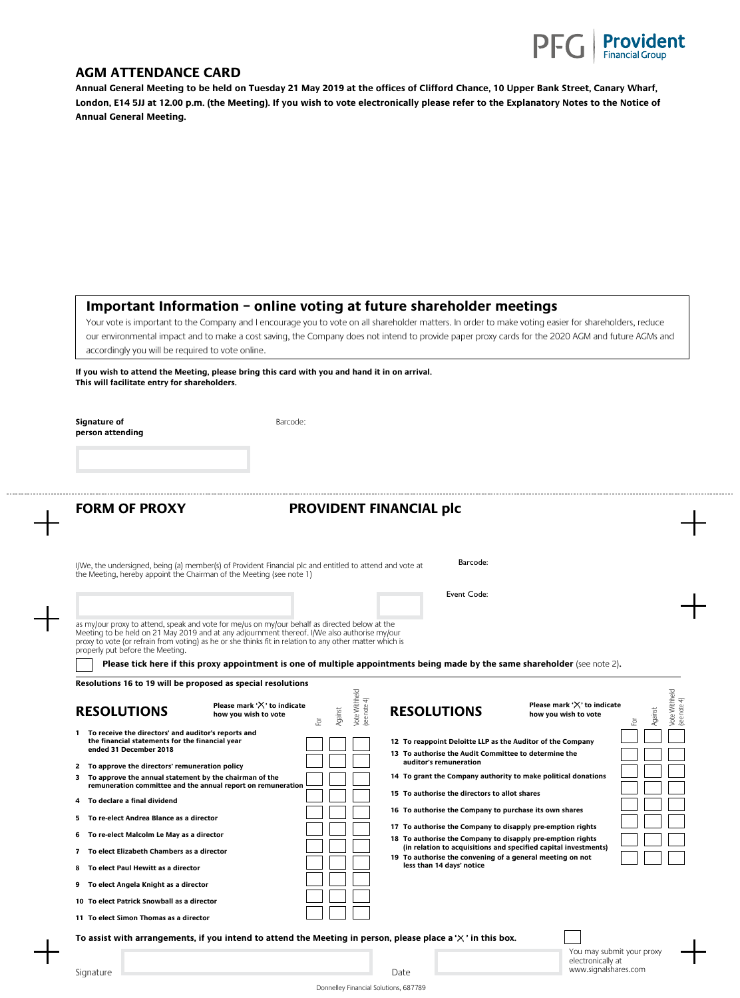

www.signalshares.com

## **AGM ATTENDANCE CARD**

**Annual General Meeting to be held on Tuesday 21 May 2019 at the offices of Clifford Chance, 10 Upper Bank Street, Canary Wharf, London, E14 5JJ at 12.00 p.m. (the Meeting). If you wish to vote electronically please refer to the Explanatory Notes to the Notice of Annual General Meeting.** 

## **Important Information – online voting at future shareholder meetings**

Your vote is important to the Company and I encourage you to vote on all shareholder matters. In order to make voting easier for shareholders, reduce our environmental impact and to make a cost saving, the Company does not intend to provide paper proxy cards for the 2020 AGM and future AGMs and accordingly you will be required to vote online.

**If you wish to attend the Meeting, please bring this card with you and hand it in on arrival. This will facilitate entry for shareholders.** 

**Signature of** Barcode: **person attending**

## **FORM OF PROXY PROVIDENT FINANCIAL plc**

| I/We, the undersigned, being (a) member(s) of Provident Financial plc and entitled to attend and vote at<br>the Meeting, hereby appoint the Chairman of the Meeting (see note 1)                                                                                                                         | Barcode:    |
|----------------------------------------------------------------------------------------------------------------------------------------------------------------------------------------------------------------------------------------------------------------------------------------------------------|-------------|
|                                                                                                                                                                                                                                                                                                          | Event Code: |
| as my/our proxy to attend, speak and vote for me/us on my/our behalf as directed below at the<br>Meeting to be held on 21 May 2019 and at any adjournment thereof. I/We also authorise my/our<br>provided unto for refrain from unting) as he or she thinks fit in relation to any other matter which is |             |

proxy to vote (or refrain from voting) as he or she thinks fit in relation to any other matter which is properly put before the Meeting.

**Please tick here if this proxy appointment is one of multiple appointments being made by the same shareholder (see note 2).** 

| Resolutions 16 to 19 will be proposed as special resolutions                                                                                                                                                                                                                                                                                                                                                                                                                                   |                                                       |              |                               |                                                                                                                                                                                                                                                                                                                                                                                     |                                                                                                                                  |                                               |
|------------------------------------------------------------------------------------------------------------------------------------------------------------------------------------------------------------------------------------------------------------------------------------------------------------------------------------------------------------------------------------------------------------------------------------------------------------------------------------------------|-------------------------------------------------------|--------------|-------------------------------|-------------------------------------------------------------------------------------------------------------------------------------------------------------------------------------------------------------------------------------------------------------------------------------------------------------------------------------------------------------------------------------|----------------------------------------------------------------------------------------------------------------------------------|-----------------------------------------------|
| <b>RESOLUTIONS</b>                                                                                                                                                                                                                                                                                                                                                                                                                                                                             | Please mark $'X'$ to indicate<br>how you wish to vote | Against<br>호 | Vote Withheld<br>(see note 4) | <b>RESOLUTIONS</b>                                                                                                                                                                                                                                                                                                                                                                  | Please mark ' $\times$ ' to indicate<br>how you wish to vote                                                                     | Vote Withheld<br>(see note 4)<br>Against<br>호 |
| To receive the directors' and auditor's reports and<br>the financial statements for the financial year<br>ended 31 December 2018<br>2 To approve the directors' remuneration policy<br>3 To approve the annual statement by the chairman of the<br>remuneration committee and the annual report on remuneration<br>4 To declare a final dividend<br>To re-elect Andrea Blance as a director<br>5<br>To re-elect Malcolm Le May as a director<br>6<br>To elect Elizabeth Chambers as a director |                                                       |              |                               | 12 To reappoint Deloitte LLP as the Auditor of the Company<br>13 To authorise the Audit Committee to determine the<br>auditor's remuneration<br>15 To authorise the directors to allot shares<br>16 To authorise the Company to purchase its own shares<br>17 To authorise the Company to disapply pre-emption rights<br>18 To authorise the Company to disapply pre-emption rights | 14 To grant the Company authority to make political donations<br>(in relation to acquisitions and specified capital investments) |                                               |
| To elect Paul Hewitt as a director<br>8<br>9 To elect Angela Knight as a director<br>10 To elect Patrick Snowball as a director<br>11 To elect Simon Thomas as a director                                                                                                                                                                                                                                                                                                                      |                                                       |              |                               | 19 To authorise the convening of a general meeting on not<br>less than 14 days' notice                                                                                                                                                                                                                                                                                              |                                                                                                                                  |                                               |
| To assist with arrangements, if you intend to attend the Meeting in person, please place a $\forall$ ' in this box.                                                                                                                                                                                                                                                                                                                                                                            |                                                       |              |                               |                                                                                                                                                                                                                                                                                                                                                                                     | You may submit your proxy<br>electronically at                                                                                   |                                               |

Signature **Date**